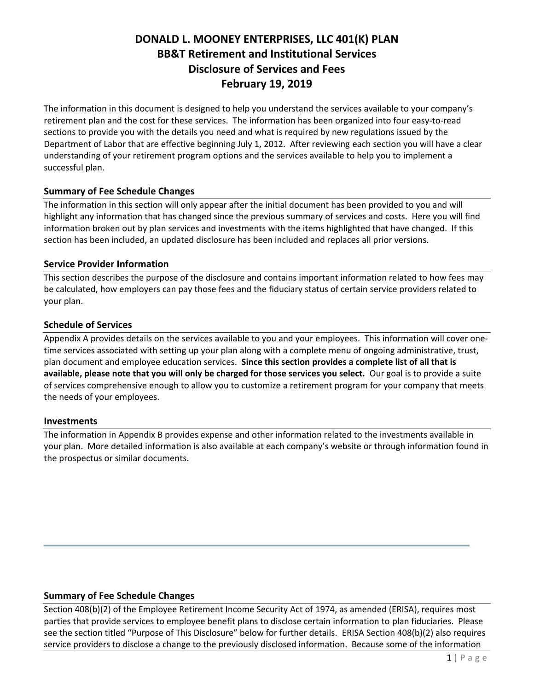# **DONALD L. MOONEY ENTERPRISES, LLC 401(K) PLAN BB&T Retirement and Institutional Services Disclosure of Services and Fees February 19, 2019**

The information in this document is designed to help you understand the services available to your company's retirement plan and the cost for these services. The information has been organized into four easy-to-read sections to provide you with the details you need and what is required by new regulations issued by the Department of Labor that are effective beginning July 1, 2012. After reviewing each section you will have a clear understanding of your retirement program options and the services available to help you to implement a successful plan.

# **Summary of Fee Schedule Changes**

The information in this section will only appear after the initial document has been provided to you and will highlight any information that has changed since the previous summary of services and costs. Here you will find information broken out by plan services and investments with the items highlighted that have changed. If this section has been included, an updated disclosure has been included and replaces all prior versions.

# **Service Provider Information**

This section describes the purpose of the disclosure and contains important information related to how fees may be calculated, how employers can pay those fees and the fiduciary status of certain service providers related to your plan.

# **Schedule of Services**

Appendix A provides details on the services available to you and your employees. This information will cover onetime services associated with setting up your plan along with a complete menu of ongoing administrative, trust, plan document and employee education services. **Since this section provides a complete list of all that is available, please note that you will only be charged for those services you select.** Our goal is to provide a suite of services comprehensive enough to allow you to customize a retirement program for your company that meets the needs of your employees.

# **Investments**

The information in Appendix B provides expense and other information related to the investments available in your plan. More detailed information is also available at each company's website or through information found in the prospectus or similar documents.

# **Summary of Fee Schedule Changes**

Section 408(b)(2) of the Employee Retirement Income Security Act of 1974, as amended (ERISA), requires most parties that provide services to employee benefit plans to disclose certain information to plan fiduciaries. Please see the section titled "Purpose of This Disclosure" below for further details. ERISA Section 408(b)(2) also requires service providers to disclose a change to the previously disclosed information. Because some of the information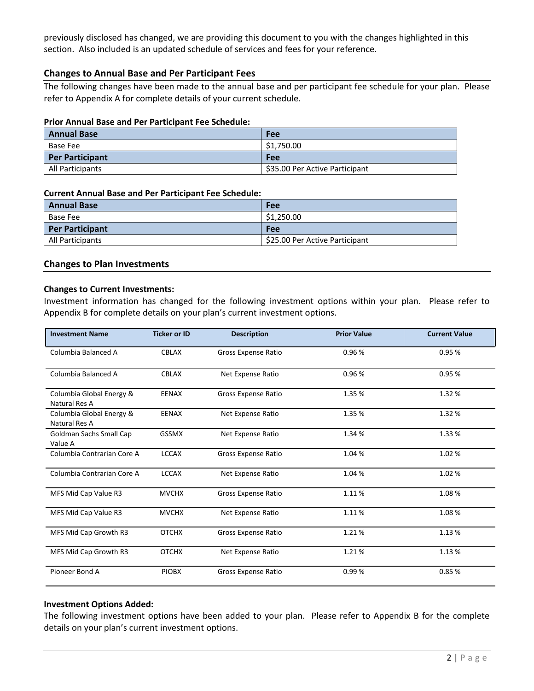previously disclosed has changed, we are providing this document to you with the changes highlighted in this section. Also included is an updated schedule of services and fees for your reference.

#### **Changes to Annual Base and Per Participant Fees**

The following changes have been made to the annual base and per participant fee schedule for your plan. Please refer to Appendix A for complete details of your current schedule.

#### **Prior Annual Base and Per Participant Fee Schedule:**

| <b>Annual Base</b>     | Fee                            |
|------------------------|--------------------------------|
| Base Fee               | \$1,750.00                     |
| <b>Per Participant</b> | <b>Fee</b>                     |
| All Participants       | \$35.00 Per Active Participant |

#### **Current Annual Base and Per Participant Fee Schedule:**

| <b>Annual Base</b>     | Fee                            |
|------------------------|--------------------------------|
| Base Fee               | \$1,250.00                     |
| <b>Per Participant</b> | Fee                            |
| All Participants       | \$25.00 Per Active Participant |

#### **Changes to Plan Investments**

#### **Changes to Current Investments:**

Investment information has changed for the following investment options within your plan. Please refer to Appendix B for complete details on your plan's current investment options.

| <b>Investment Name</b>                    | <b>Ticker or ID</b> | <b>Description</b>         | <b>Prior Value</b> | <b>Current Value</b> |
|-------------------------------------------|---------------------|----------------------------|--------------------|----------------------|
| Columbia Balanced A                       | <b>CBLAX</b>        | <b>Gross Expense Ratio</b> | 0.96%              | 0.95%                |
| Columbia Balanced A                       | <b>CBLAX</b>        |                            | 0.96%              | 0.95%                |
| Columbia Global Energy &<br>Natural Res A | <b>EENAX</b>        | Gross Expense Ratio        | 1.35 %             | 1.32%                |
| Columbia Global Energy &<br>Natural Res A | <b>EENAX</b>        | Net Expense Ratio          | 1.35 %             | 1.32 %               |
| Goldman Sachs Small Cap<br>Value A        | <b>GSSMX</b>        | Net Expense Ratio          | 1.34 %             | 1.33 %               |
| Columbia Contrarian Core A                | <b>LCCAX</b>        | Gross Expense Ratio        | 1.04 %             | 1.02%                |
| Columbia Contrarian Core A                | <b>LCCAX</b>        | Net Expense Ratio          | 1.04 %             | 1.02%                |
| MFS Mid Cap Value R3                      | <b>MVCHX</b>        | <b>Gross Expense Ratio</b> | 1.11%              | 1.08%                |
| MFS Mid Cap Value R3                      | <b>MVCHX</b>        | Net Expense Ratio          | 1.11%              | 1.08%                |
| MFS Mid Cap Growth R3                     | <b>OTCHX</b>        | Gross Expense Ratio        | 1.21%              | 1.13%                |
| MFS Mid Cap Growth R3                     | <b>OTCHX</b>        | Net Expense Ratio          | 1.21%              | 1.13 %               |
| Pioneer Bond A                            | <b>PIOBX</b>        | <b>Gross Expense Ratio</b> | 0.99%              | 0.85%                |

#### **Investment Options Added:**

The following investment options have been added to your plan. Please refer to Appendix B for the complete details on your plan's current investment options.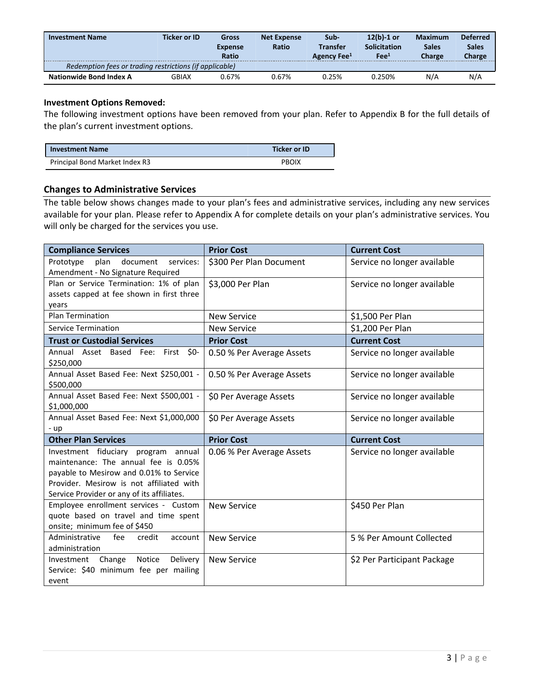| <b>Investment Name</b>                                  | Ticker or ID | Gross<br><b>Expense</b><br><b>Ratio</b> | <b>Net Expense</b><br>Ratio | Sub-<br>Transfer<br>Agency Fee <sup>1</sup> | $12(b)-1$ or<br><b>Solicitation</b><br>Fe <sup>1</sup> | <b>Maximum</b><br><b>Sales</b><br><b>Charge</b> | <b>Deferred</b><br><b>Sales</b><br>Charge |
|---------------------------------------------------------|--------------|-----------------------------------------|-----------------------------|---------------------------------------------|--------------------------------------------------------|-------------------------------------------------|-------------------------------------------|
| Redemption fees or trading restrictions (if applicable) |              |                                         |                             |                                             |                                                        |                                                 |                                           |
| Nationwide Bond Index A                                 | GBIAX        | 0.67%                                   | 0.67%                       | 0.25%                                       | ገ.250%                                                 | N/A                                             | N/A                                       |

#### **Investment Options Removed:**

The following investment options have been removed from your plan. Refer to Appendix B for the full details of the plan's current investment options.

| <b>Investment Name</b>         | <b>Ticker or ID</b> |
|--------------------------------|---------------------|
| Principal Bond Market Index R3 | PBOIX               |

#### **Changes to Administrative Services**

The table below shows changes made to your plan's fees and administrative services, including any new services available for your plan. Please refer to Appendix A for complete details on your plan's administrative services. You will only be charged for the services you use.

| <b>Compliance Services</b>                     | <b>Prior Cost</b>                                     | <b>Current Cost</b>         |
|------------------------------------------------|-------------------------------------------------------|-----------------------------|
| plan<br>Prototype<br>document<br>services:     | \$300 Per Plan Document                               | Service no longer available |
| Amendment - No Signature Required              |                                                       |                             |
| Plan or Service Termination: 1% of plan        | \$3,000 Per Plan                                      | Service no longer available |
| assets capped at fee shown in first three      |                                                       |                             |
| years                                          |                                                       |                             |
| Plan Termination                               | <b>New Service</b>                                    | \$1,500 Per Plan            |
| <b>Service Termination</b>                     | <b>New Service</b>                                    | \$1,200 Per Plan            |
| <b>Trust or Custodial Services</b>             | <b>Prior Cost</b>                                     | <b>Current Cost</b>         |
| Annual Asset Based Fee:<br><b>SO-</b><br>First | 0.50 % Per Average Assets                             | Service no longer available |
| \$250,000                                      |                                                       |                             |
| Annual Asset Based Fee: Next \$250,001 -       | 0.50 % Per Average Assets                             | Service no longer available |
| \$500,000                                      |                                                       |                             |
| Annual Asset Based Fee: Next \$500,001 -       | \$0 Per Average Assets                                | Service no longer available |
| \$1,000,000                                    |                                                       |                             |
| Annual Asset Based Fee: Next \$1,000,000       | \$0 Per Average Assets<br>Service no longer available |                             |
| - up                                           |                                                       |                             |
| <b>Other Plan Services</b>                     | <b>Prior Cost</b>                                     | <b>Current Cost</b>         |
| Investment fiduciary program annual            | 0.06 % Per Average Assets                             | Service no longer available |
| maintenance: The annual fee is 0.05%           |                                                       |                             |
| payable to Mesirow and 0.01% to Service        |                                                       |                             |
| Provider. Mesirow is not affiliated with       |                                                       |                             |
| Service Provider or any of its affiliates.     |                                                       |                             |
| Employee enrollment services - Custom          | <b>New Service</b>                                    | \$450 Per Plan              |
| quote based on travel and time spent           |                                                       |                             |
| onsite; minimum fee of \$450                   |                                                       |                             |
| Administrative<br>fee<br>credit<br>account     | <b>New Service</b>                                    | 5 % Per Amount Collected    |
| administration                                 |                                                       |                             |
| Notice<br>Delivery<br>Investment Change        | <b>New Service</b>                                    | \$2 Per Participant Package |
| Service: \$40 minimum fee per mailing          |                                                       |                             |
| event                                          |                                                       |                             |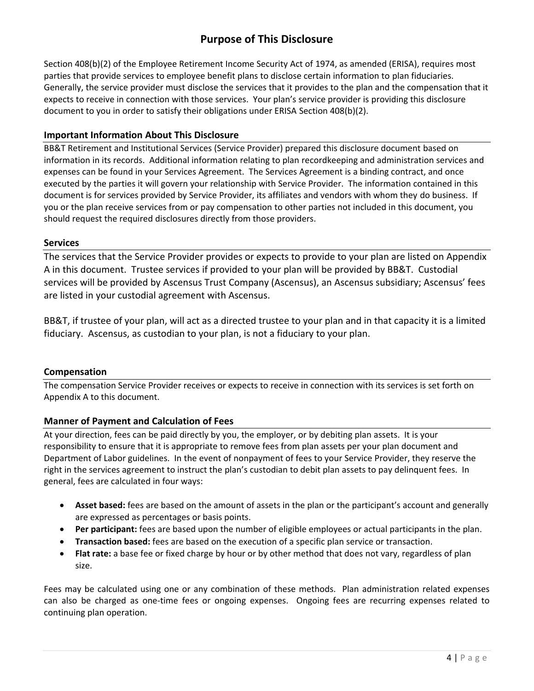# **Purpose of This Disclosure**

Section 408(b)(2) of the Employee Retirement Income Security Act of 1974, as amended (ERISA), requires most parties that provide services to employee benefit plans to disclose certain information to plan fiduciaries. Generally, the service provider must disclose the services that it provides to the plan and the compensation that it expects to receive in connection with those services. Your plan's service provider is providing this disclosure document to you in order to satisfy their obligations under ERISA Section 408(b)(2).

# **Important Information About This Disclosure**

BB&T Retirement and Institutional Services (Service Provider) prepared this disclosure document based on information in its records. Additional information relating to plan recordkeeping and administration services and expenses can be found in your Services Agreement. The Services Agreement is a binding contract, and once executed by the parties it will govern your relationship with Service Provider. The information contained in this document is for services provided by Service Provider, its affiliates and vendors with whom they do business. If you or the plan receive services from or pay compensation to other parties not included in this document, you should request the required disclosures directly from those providers.

# **Services**

The services that the Service Provider provides or expects to provide to your plan are listed on Appendix A in this document. Trustee services if provided to your plan will be provided by BB&T. Custodial services will be provided by Ascensus Trust Company (Ascensus), an Ascensus subsidiary; Ascensus' fees are listed in your custodial agreement with Ascensus.

BB&T, if trustee of your plan, will act as a directed trustee to your plan and in that capacity it is a limited fiduciary. Ascensus, as custodian to your plan, is not a fiduciary to your plan.

# **Compensation**

The compensation Service Provider receives or expects to receive in connection with its services is set forth on Appendix A to this document.

# **Manner of Payment and Calculation of Fees**

At your direction, fees can be paid directly by you, the employer, or by debiting plan assets. It is your responsibility to ensure that it is appropriate to remove fees from plan assets per your plan document and Department of Labor guidelines. In the event of nonpayment of fees to your Service Provider, they reserve the right in the services agreement to instruct the plan's custodian to debit plan assets to pay delinquent fees. In general, fees are calculated in four ways:

- **Asset based:** fees are based on the amount of assets in the plan or the participant's account and generally are expressed as percentages or basis points.
- **Per participant:** fees are based upon the number of eligible employees or actual participants in the plan.
- **Transaction based:** fees are based on the execution of a specific plan service or transaction.
- **Flat rate:** a base fee or fixed charge by hour or by other method that does not vary, regardless of plan size.

Fees may be calculated using one or any combination of these methods. Plan administration related expenses can also be charged as one-time fees or ongoing expenses. Ongoing fees are recurring expenses related to continuing plan operation.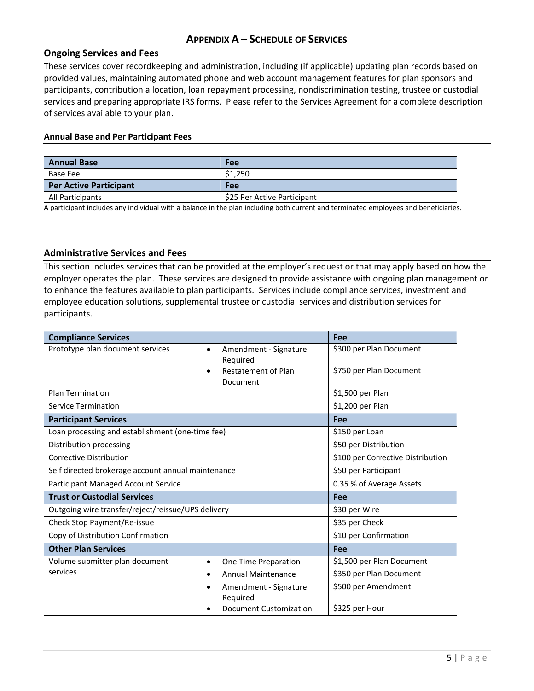# **APPENDIX A – SCHEDULE OF SERVICES**

#### **Ongoing Services and Fees**

These services cover recordkeeping and administration, including (if applicable) updating plan records based on provided values, maintaining automated phone and web account management features for plan sponsors and participants, contribution allocation, loan repayment processing, nondiscrimination testing, trustee or custodial services and preparing appropriate IRS forms. Please refer to the Services Agreement for a complete description of services available to your plan.

#### **Annual Base and Per Participant Fees**

| <b>Annual Base</b>            | Fee                         |
|-------------------------------|-----------------------------|
| Base Fee                      | \$1,250                     |
| <b>Per Active Participant</b> | Fee                         |
| All Participants              | \$25 Per Active Participant |

A participant includes any individual with a balance in the plan including both current and terminated employees and beneficiaries.

#### **Administrative Services and Fees**

This section includes services that can be provided at the employer's request or that may apply based on how the employer operates the plan. These services are designed to provide assistance with ongoing plan management or to enhance the features available to plan participants. Services include compliance services, investment and employee education solutions, supplemental trustee or custodial services and distribution services for participants.

| <b>Compliance Services</b>                         |                                   | Fee                       |  |
|----------------------------------------------------|-----------------------------------|---------------------------|--|
| Prototype plan document services<br>$\bullet$      | Amendment - Signature             | \$300 per Plan Document   |  |
|                                                    | Required                          |                           |  |
|                                                    | Restatement of Plan               | \$750 per Plan Document   |  |
|                                                    | Document                          |                           |  |
| <b>Plan Termination</b>                            |                                   | \$1,500 per Plan          |  |
| <b>Service Termination</b>                         |                                   | \$1,200 per Plan          |  |
| <b>Participant Services</b>                        |                                   | Fee                       |  |
| Loan processing and establishment (one-time fee)   |                                   | \$150 per Loan            |  |
| Distribution processing                            |                                   | \$50 per Distribution     |  |
| Corrective Distribution                            | \$100 per Corrective Distribution |                           |  |
| Self directed brokerage account annual maintenance | \$50 per Participant              |                           |  |
| Participant Managed Account Service                | 0.35 % of Average Assets          |                           |  |
| <b>Trust or Custodial Services</b>                 |                                   | <b>Fee</b>                |  |
| Outgoing wire transfer/reject/reissue/UPS delivery |                                   | \$30 per Wire             |  |
| Check Stop Payment/Re-issue                        |                                   | \$35 per Check            |  |
| Copy of Distribution Confirmation                  |                                   | \$10 per Confirmation     |  |
| <b>Other Plan Services</b>                         |                                   | Fee                       |  |
| Volume submitter plan document<br>$\bullet$        | One Time Preparation              | \$1,500 per Plan Document |  |
| services                                           | <b>Annual Maintenance</b>         | \$350 per Plan Document   |  |
|                                                    | Amendment - Signature<br>Required | \$500 per Amendment       |  |
|                                                    |                                   |                           |  |
|                                                    | Document Customization            | \$325 per Hour            |  |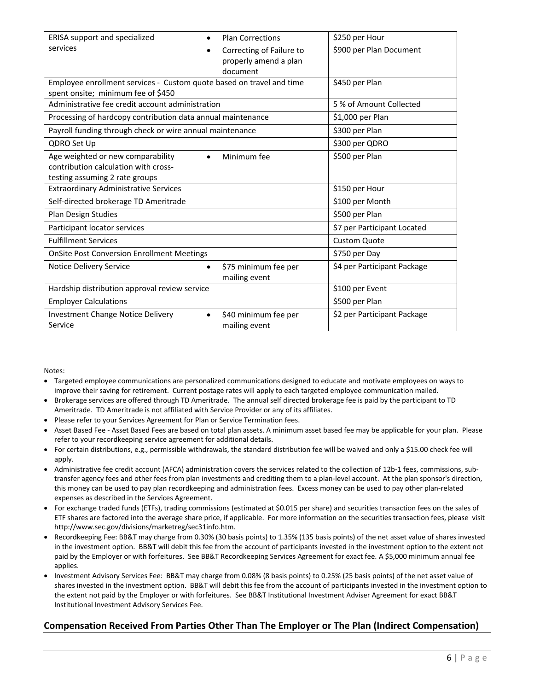| ERISA support and specialized                                        | <b>Plan Corrections</b>  | \$250 per Hour              |
|----------------------------------------------------------------------|--------------------------|-----------------------------|
| services                                                             | Correcting of Failure to | \$900 per Plan Document     |
|                                                                      | properly amend a plan    |                             |
|                                                                      | document                 |                             |
| Employee enrollment services - Custom quote based on travel and time |                          | \$450 per Plan              |
| spent onsite; minimum fee of \$450                                   |                          |                             |
| Administrative fee credit account administration                     |                          | 5 % of Amount Collected     |
| Processing of hardcopy contribution data annual maintenance          |                          | \$1,000 per Plan            |
| Payroll funding through check or wire annual maintenance             |                          | \$300 per Plan              |
| QDRO Set Up                                                          |                          | \$300 per QDRO              |
| Age weighted or new comparability                                    | Minimum fee              | \$500 per Plan              |
| contribution calculation with cross-                                 |                          |                             |
| testing assuming 2 rate groups                                       |                          |                             |
| <b>Extraordinary Administrative Services</b>                         |                          | \$150 per Hour              |
| Self-directed brokerage TD Ameritrade                                |                          | \$100 per Month             |
| Plan Design Studies                                                  |                          | \$500 per Plan              |
| Participant locator services                                         |                          | \$7 per Participant Located |
| <b>Fulfillment Services</b>                                          |                          | <b>Custom Quote</b>         |
| <b>OnSite Post Conversion Enrollment Meetings</b>                    |                          | \$750 per Day               |
| <b>Notice Delivery Service</b>                                       | \$75 minimum fee per     | \$4 per Participant Package |
|                                                                      | mailing event            |                             |
| Hardship distribution approval review service                        |                          | \$100 per Event             |
| <b>Employer Calculations</b>                                         |                          | \$500 per Plan              |
| <b>Investment Change Notice Delivery</b>                             | \$40 minimum fee per     | \$2 per Participant Package |
| Service                                                              | mailing event            |                             |

Notes:

- Targeted employee communications are personalized communications designed to educate and motivate employees on ways to improve their saving for retirement. Current postage rates will apply to each targeted employee communication mailed.
- Brokerage services are offered through TD Ameritrade. The annual self directed brokerage fee is paid by the participant to TD Ameritrade. TD Ameritrade is not affiliated with Service Provider or any of its affiliates.
- Please refer to your Services Agreement for Plan or Service Termination fees.
- Asset Based Fee Asset Based Fees are based on total plan assets. A minimum asset based fee may be applicable for your plan. Please refer to your recordkeeping service agreement for additional details.
- For certain distributions, e.g., permissible withdrawals, the standard distribution fee will be waived and only a \$15.00 check fee will apply.
- Administrative fee credit account (AFCA) administration covers the services related to the collection of 12b-1 fees, commissions, subtransfer agency fees and other fees from plan investments and crediting them to a plan-level account. At the plan sponsor's direction, this money can be used to pay plan recordkeeping and administration fees. Excess money can be used to pay other plan-related expenses as described in the Services Agreement.
- For exchange traded funds (ETFs), trading commissions (estimated at \$0.015 per share) and securities transaction fees on the sales of ETF shares are factored into the average share price, if applicable. For more information on the securities transaction fees, please visit http://www.sec.gov/divisions/marketreg/sec31info.htm.
- Recordkeeping Fee: BB&T may charge from 0.30% (30 basis points) to 1.35% (135 basis points) of the net asset value of shares invested in the investment option. BB&T will debit this fee from the account of participants invested in the investment option to the extent not paid by the Employer or with forfeitures. See BB&T Recordkeeping Services Agreement for exact fee. A \$5,000 minimum annual fee applies.
- Investment Advisory Services Fee: BB&T may charge from 0.08% (8 basis points) to 0.25% (25 basis points) of the net asset value of shares invested in the investment option. BB&T will debit this fee from the account of participants invested in the investment option to the extent not paid by the Employer or with forfeitures. See BB&T Institutional Investment Adviser Agreement for exact BB&T Institutional Investment Advisory Services Fee.

# **Compensation Received From Parties Other Than The Employer or The Plan (Indirect Compensation)**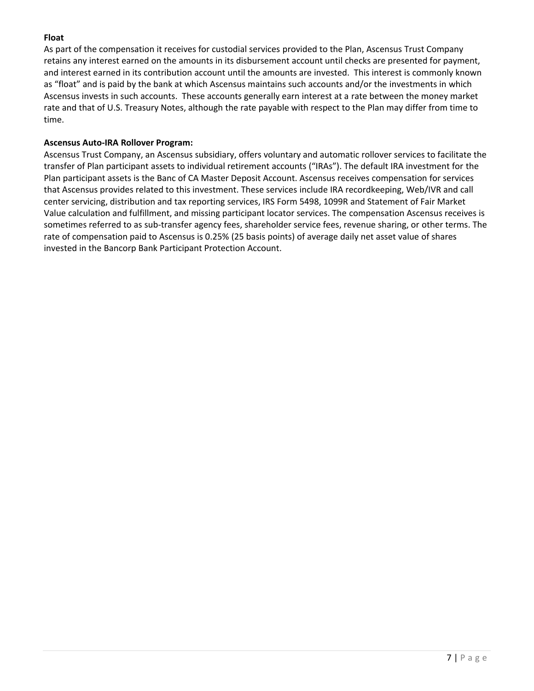# **Float**

As part of the compensation it receives for custodial services provided to the Plan, Ascensus Trust Company retains any interest earned on the amounts in its disbursement account until checks are presented for payment, and interest earned in its contribution account until the amounts are invested. This interest is commonly known as "float" and is paid by the bank at which Ascensus maintains such accounts and/or the investments in which Ascensus invests in such accounts. These accounts generally earn interest at a rate between the money market rate and that of U.S. Treasury Notes, although the rate payable with respect to the Plan may differ from time to time.

#### **Ascensus Auto-IRA Rollover Program:**

Ascensus Trust Company, an Ascensus subsidiary, offers voluntary and automatic rollover services to facilitate the transfer of Plan participant assets to individual retirement accounts ("IRAs"). The default IRA investment for the Plan participant assets is the Banc of CA Master Deposit Account. Ascensus receives compensation for services that Ascensus provides related to this investment. These services include IRA recordkeeping, Web/IVR and call center servicing, distribution and tax reporting services, IRS Form 5498, 1099R and Statement of Fair Market Value calculation and fulfillment, and missing participant locator services. The compensation Ascensus receives is sometimes referred to as sub-transfer agency fees, shareholder service fees, revenue sharing, or other terms. The rate of compensation paid to Ascensus is 0.25% (25 basis points) of average daily net asset value of shares invested in the Bancorp Bank Participant Protection Account.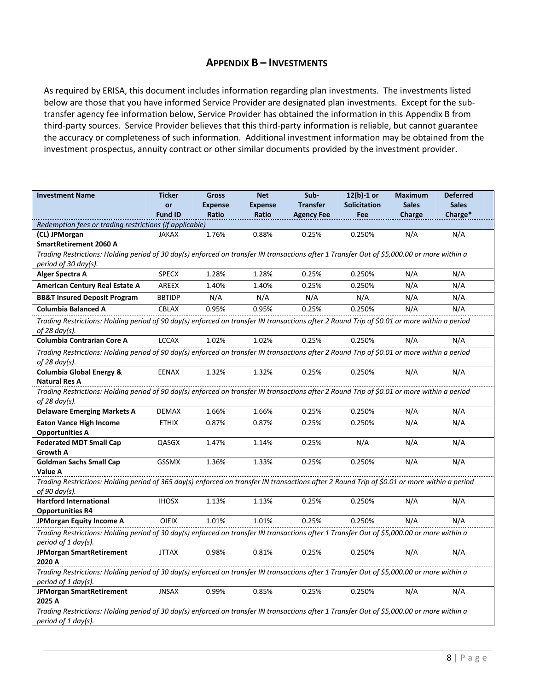# **APPENDIX B – INVESTMENTS**

As required by ERISA, this document includes information regarding plan investments. The investments listed below are those that you have informed Service Provider are designated plan investments. Except for the subtransfer agency fee information below, Service Provider has obtained the information in this Appendix B from third-party sources. Service Provider believes that this third-party information is reliable, but cannot guarantee the accuracy or completeness of such information. Additional investment information may be obtained from the investment prospectus, annuity contract or other similar documents provided by the investment provider.

| <b>Investment Name</b>                                                                                                                                       | <b>Ticker</b>  | <b>Gross</b>   | <b>Net</b>     | Sub-              | $12(b)-1$ or        | <b>Maximum</b> | <b>Deferred</b> |  |  |
|--------------------------------------------------------------------------------------------------------------------------------------------------------------|----------------|----------------|----------------|-------------------|---------------------|----------------|-----------------|--|--|
|                                                                                                                                                              | or             | <b>Expense</b> | <b>Expense</b> | <b>Transfer</b>   | <b>Solicitation</b> | <b>Sales</b>   | <b>Sales</b>    |  |  |
|                                                                                                                                                              | <b>Fund ID</b> | <b>Ratio</b>   | Ratio          | <b>Agency Fee</b> | Fee                 | Charge         | Charge*         |  |  |
| Redemption fees or trading restrictions (if applicable)<br>(CL) JPMorgan                                                                                     | <b>JAKAX</b>   | 1.76%          | 0.88%          | 0.25%             | 0.250%              | N/A            | N/A             |  |  |
| <b>SmartRetirement 2060 A</b>                                                                                                                                |                |                |                |                   |                     |                |                 |  |  |
| Trading Restrictions: Holding period of 30 day(s) enforced on transfer IN transactions after 1 Transfer Out of \$5,000.00 or more within a                   |                |                |                |                   |                     |                |                 |  |  |
| period of 30 day(s).                                                                                                                                         |                |                |                |                   |                     |                |                 |  |  |
| Alger Spectra A                                                                                                                                              | <b>SPECX</b>   | 1.28%          | 1.28%          | 0.25%             | 0.250%              | N/A            | N/A             |  |  |
| <b>American Century Real Estate A</b>                                                                                                                        | AREEX          | 1.40%          | 1.40%          | 0.25%             | 0.250%              | N/A            | N/A             |  |  |
| <b>BB&amp;T Insured Deposit Program</b>                                                                                                                      | <b>BBTIDP</b>  | N/A            | N/A            | N/A               | N/A                 | N/A            | N/A             |  |  |
| <b>Columbia Balanced A</b>                                                                                                                                   | <b>CBLAX</b>   | 0.95%          | 0.95%          | 0.25%             | 0.250%              | N/A            | N/A             |  |  |
| Trading Restrictions: Holding period of 90 day(s) enforced on transfer IN transactions after 2 Round Trip of \$0.01 or more within a period                  |                |                |                |                   |                     |                |                 |  |  |
| of 28 day(s).<br><b>Columbia Contrarian Core A</b>                                                                                                           | <b>LCCAX</b>   | 1.02%          | 1.02%          | 0.25%             | 0.250%              | N/A            | N/A             |  |  |
| Trading Restrictions: Holding period of 90 day(s) enforced on transfer IN transactions after 2 Round Trip of \$0.01 or more within a period                  |                |                |                |                   |                     |                |                 |  |  |
| of 28 day(s).                                                                                                                                                |                |                |                |                   |                     |                |                 |  |  |
| <b>Columbia Global Energy &amp;</b>                                                                                                                          | <b>EENAX</b>   | 1.32%          | 1.32%          | 0.25%             | 0.250%              | N/A            | N/A             |  |  |
| <b>Natural Res A</b>                                                                                                                                         |                |                |                |                   |                     |                |                 |  |  |
| Trading Restrictions: Holding period of 90 day(s) enforced on transfer IN transactions after 2 Round Trip of \$0.01 or more within a period<br>of 28 day(s). |                |                |                |                   |                     |                |                 |  |  |
| <b>Delaware Emerging Markets A</b>                                                                                                                           | <b>DEMAX</b>   | 1.66%          | 1.66%          | 0.25%             | 0.250%              | N/A            | N/A             |  |  |
| <b>Eaton Vance High Income</b>                                                                                                                               | <b>ETHIX</b>   | 0.87%          | 0.87%          | 0.25%             | 0.250%              | N/A            | N/A             |  |  |
| <b>Opportunities A</b>                                                                                                                                       |                |                |                |                   |                     |                |                 |  |  |
| <b>Federated MDT Small Cap</b>                                                                                                                               | QASGX          | 1.47%          | 1.14%          | 0.25%             | N/A                 | N/A            | N/A             |  |  |
| <b>Growth A</b><br><b>Goldman Sachs Small Cap</b>                                                                                                            | <b>GSSMX</b>   | 1.36%          | 1.33%          | 0.25%             | 0.250%              | N/A            | N/A             |  |  |
| Value A                                                                                                                                                      |                |                |                |                   |                     |                |                 |  |  |
| Trading Restrictions: Holding period of 365 day(s) enforced on transfer IN transactions after 2 Round Trip of \$0.01 or more within a period                 |                |                |                |                   |                     |                |                 |  |  |
| of 90 day(s).                                                                                                                                                |                |                |                |                   |                     |                |                 |  |  |
| <b>Hartford International</b>                                                                                                                                | <b>IHOSX</b>   | 1.13%          | 1.13%          | 0.25%             | 0.250%              | N/A            | N/A             |  |  |
| <b>Opportunities R4</b>                                                                                                                                      |                |                |                |                   |                     |                |                 |  |  |
| <b>JPMorgan Equity Income A</b>                                                                                                                              | <b>OIEIX</b>   | 1.01%          | 1.01%          | 0.25%             | 0.250%              | N/A            | N/A             |  |  |
| Trading Restrictions: Holding period of 30 day(s) enforced on transfer IN transactions after 1 Transfer Out of \$5,000.00 or more within a                   |                |                |                |                   |                     |                |                 |  |  |
| period of 1 day(s).                                                                                                                                          |                |                |                |                   |                     |                |                 |  |  |
| <b>JPMorgan SmartRetirement</b><br>2020 A                                                                                                                    | <b>JTTAX</b>   | 0.98%          | 0.81%          | 0.25%             | 0.250%              | N/A            | N/A             |  |  |
| Trading Restrictions: Holding period of 30 day(s) enforced on transfer IN transactions after 1 Transfer Out of \$5,000.00 or more within a                   |                |                |                |                   |                     |                |                 |  |  |
| period of 1 day(s).                                                                                                                                          |                |                |                |                   |                     |                |                 |  |  |
| <b>JPMorgan SmartRetirement</b>                                                                                                                              | <b>JNSAX</b>   | 0.99%          | 0.85%          | 0.25%             | 0.250%              | N/A            | N/A             |  |  |
| 2025 A                                                                                                                                                       |                |                |                |                   |                     |                |                 |  |  |
| Trading Restrictions: Holding period of 30 day(s) enforced on transfer IN transactions after 1 Transfer Out of \$5,000.00 or more within a                   |                |                |                |                   |                     |                |                 |  |  |
| period of 1 day(s).                                                                                                                                          |                |                |                |                   |                     |                |                 |  |  |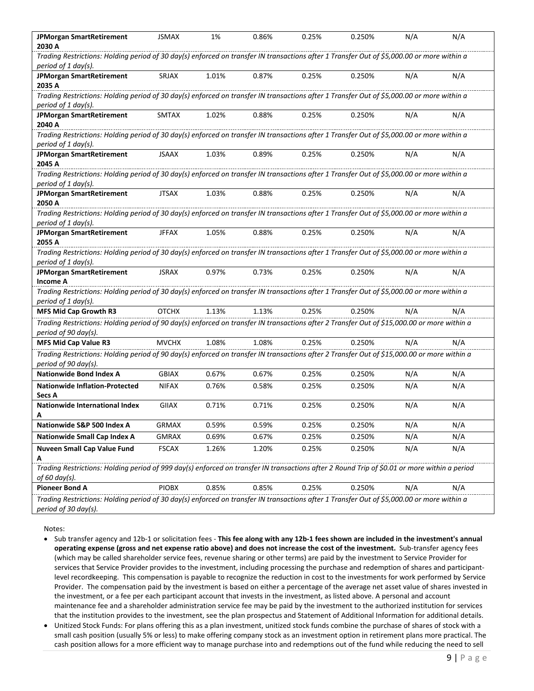| <b>JPMorgan SmartRetirement</b>                                                                                                                                     | <b>JSMAX</b> | 1%    | 0.86% | 0.25% | 0.250% | N/A | N/A |
|---------------------------------------------------------------------------------------------------------------------------------------------------------------------|--------------|-------|-------|-------|--------|-----|-----|
| 2030 A                                                                                                                                                              |              |       |       |       |        |     |     |
| Trading Restrictions: Holding period of 30 day(s) enforced on transfer IN transactions after 1 Transfer Out of \$5,000.00 or more within a                          |              |       |       |       |        |     |     |
| period of 1 day(s).                                                                                                                                                 |              |       |       |       |        |     |     |
| <b>JPMorgan SmartRetirement</b>                                                                                                                                     | SRJAX        | 1.01% | 0.87% | 0.25% | 0.250% | N/A | N/A |
| 2035 A                                                                                                                                                              |              |       |       |       |        |     |     |
| Trading Restrictions: Holding period of 30 day(s) enforced on transfer IN transactions after 1 Transfer Out of \$5,000.00 or more within a                          |              |       |       |       |        |     |     |
| period of 1 day(s).                                                                                                                                                 |              |       |       |       |        |     |     |
| <b>JPMorgan SmartRetirement</b>                                                                                                                                     | <b>SMTAX</b> | 1.02% | 0.88% | 0.25% | 0.250% | N/A | N/A |
| 2040 A                                                                                                                                                              |              |       |       |       |        |     |     |
| Trading Restrictions: Holding period of 30 day(s) enforced on transfer IN transactions after 1 Transfer Out of \$5,000.00 or more within a                          |              |       |       |       |        |     |     |
| period of 1 day(s).                                                                                                                                                 |              |       |       |       |        |     |     |
| <b>JPMorgan SmartRetirement</b>                                                                                                                                     | <b>JSAAX</b> | 1.03% | 0.89% | 0.25% | 0.250% | N/A | N/A |
| 2045 A<br>Trading Restrictions: Holding period of 30 day(s) enforced on transfer IN transactions after 1 Transfer Out of \$5,000.00 or more within a                |              |       |       |       |        |     |     |
| period of 1 day(s).                                                                                                                                                 |              |       |       |       |        |     |     |
| <b>JPMorgan SmartRetirement</b>                                                                                                                                     | <b>JTSAX</b> | 1.03% | 0.88% | 0.25% | 0.250% | N/A | N/A |
| 2050 A                                                                                                                                                              |              |       |       |       |        |     |     |
| Trading Restrictions: Holding period of 30 day(s) enforced on transfer IN transactions after 1 Transfer Out of \$5,000.00 or more within a                          |              |       |       |       |        |     |     |
| period of 1 day(s).                                                                                                                                                 |              |       |       |       |        |     |     |
| <b>JPMorgan SmartRetirement</b>                                                                                                                                     | <b>JFFAX</b> | 1.05% | 0.88% | 0.25% | 0.250% | N/A | N/A |
| 2055 A                                                                                                                                                              |              |       |       |       |        |     |     |
| Trading Restrictions: Holding period of 30 day(s) enforced on transfer IN transactions after 1 Transfer Out of \$5,000.00 or more within a                          |              |       |       |       |        |     |     |
| period of 1 day(s).                                                                                                                                                 |              |       |       |       |        |     |     |
| <b>JPMorgan SmartRetirement</b>                                                                                                                                     | <b>JSRAX</b> | 0.97% | 0.73% | 0.25% | 0.250% | N/A | N/A |
| <b>Income A</b>                                                                                                                                                     |              |       |       |       |        |     |     |
| Trading Restrictions: Holding period of 30 day(s) enforced on transfer IN transactions after 1 Transfer Out of \$5,000.00 or more within a                          |              |       |       |       |        |     |     |
| period of 1 day(s).                                                                                                                                                 |              |       |       |       |        |     |     |
| <b>MFS Mid Cap Growth R3</b>                                                                                                                                        | <b>OTCHX</b> | 1.13% | 1.13% | 0.25% | 0.250% | N/A | N/A |
| Trading Restrictions: Holding period of 90 day(s) enforced on transfer IN transactions after 2 Transfer Out of \$15,000.00 or more within a<br>period of 90 day(s). |              |       |       |       |        |     |     |
| MFS Mid Cap Value R3                                                                                                                                                | <b>MVCHX</b> | 1.08% | 1.08% | 0.25% | 0.250% | N/A | N/A |
| Trading Restrictions: Holding period of 90 day(s) enforced on transfer IN transactions after 2 Transfer Out of \$15,000.00 or more within a                         |              |       |       |       |        |     |     |
| period of 90 day(s).                                                                                                                                                |              |       |       |       |        |     |     |
| <b>Nationwide Bond Index A</b>                                                                                                                                      | <b>GBIAX</b> | 0.67% | 0.67% | 0.25% | 0.250% | N/A | N/A |
| <b>Nationwide Inflation-Protected</b>                                                                                                                               | <b>NIFAX</b> | 0.76% | 0.58% | 0.25% | 0.250% | N/A | N/A |
| Secs A                                                                                                                                                              |              |       |       |       |        |     |     |
| Nationwide International Index                                                                                                                                      | GIIAX        | 0.71% | 0.71% | 0.25% | 0.250% | N/A | N/A |
| Α                                                                                                                                                                   |              |       |       |       |        |     |     |
| Nationwide S&P 500 Index A                                                                                                                                          | <b>GRMAX</b> | 0.59% | 0.59% | 0.25% | 0.250% | N/A | N/A |
| Nationwide Small Cap Index A                                                                                                                                        | <b>GMRAX</b> | 0.69% | 0.67% | 0.25% | 0.250% | N/A | N/A |
| Nuveen Small Cap Value Fund                                                                                                                                         | <b>FSCAX</b> | 1.26% | 1.20% | 0.25% | 0.250% | N/A | N/A |
| Α                                                                                                                                                                   |              |       |       |       |        |     |     |
| Trading Restrictions: Holding period of 999 day(s) enforced on transfer IN transactions after 2 Round Trip of \$0.01 or more within a period                        |              |       |       |       |        |     |     |
| of 60 day(s).                                                                                                                                                       |              |       |       |       |        |     |     |
| <b>Pioneer Bond A</b>                                                                                                                                               | <b>PIOBX</b> | 0.85% | 0.85% | 0.25% | 0.250% | N/A | N/A |
| Trading Restrictions: Holding period of 30 day(s) enforced on transfer IN transactions after 1 Transfer Out of \$5,000.00 or more within a                          |              |       |       |       |        |     |     |
| period of 30 day(s).                                                                                                                                                |              |       |       |       |        |     |     |

Notes:

- Sub transfer agency and 12b-1 or solicitation fees This fee along with any 12b-1 fees shown are included in the investment's annual operating expense (gross and net expense ratio above) and does not increase the cost of the investment. Sub-transfer agency fees (which may be called shareholder service fees, revenue sharing or other terms) are paid by the investment to Service Provider for services that Service Provider provides to the investment, including processing the purchase and redemption of shares and participantlevel recordkeeping. This compensation is payable to recognize the reduction in cost to the investments for work performed by Service Provider. The compensation paid by the investment is based on either a percentage of the average net asset value of shares invested in the investment, or a fee per each participant account that invests in the investment, as listed above. A personal and account maintenance fee and a shareholder administration service fee may be paid by the investment to the authorized institution for services that the institution provides to the investment, see the plan prospectus and Statement of Additional Information for additional details.
- Unitized Stock Funds: For plans offering this as a plan investment, unitized stock funds combine the purchase of shares of stock with a small cash position (usually 5% or less) to make offering company stock as an investment option in retirement plans more practical. The cash position allows for a more efficient way to manage purchase into and redemptions out of the fund while reducing the need to sell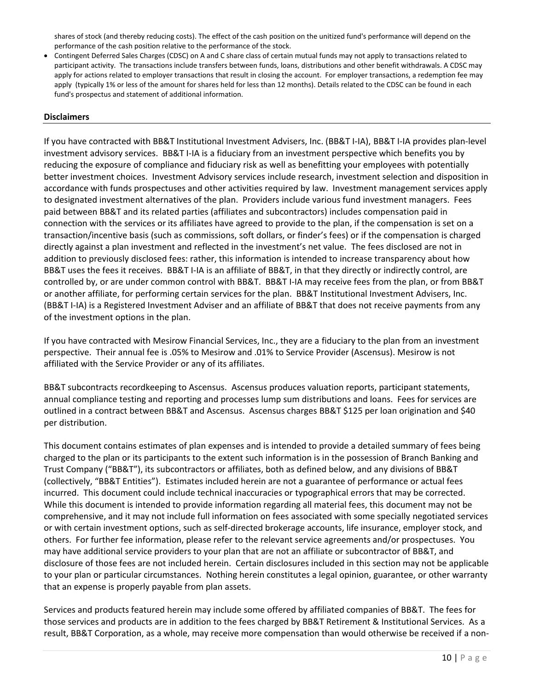shares of stock (and thereby reducing costs). The effect of the cash position on the unitized fund's performance will depend on the performance of the cash position relative to the performance of the stock.

 Contingent Deferred Sales Charges (CDSC) on A and C share class of certain mutual funds may not apply to transactions related to participant activity. The transactions include transfers between funds, loans, distributions and other benefit withdrawals. A CDSC may apply for actions related to employer transactions that result in closing the account. For employer transactions, a redemption fee may apply (typically 1% or less of the amount for shares held for less than 12 months). Details related to the CDSC can be found in each fund's prospectus and statement of additional information.

#### **Disclaimers**

If you have contracted with BB&T Institutional Investment Advisers, Inc. (BB&T I-IA), BB&T I-IA provides plan-level investment advisory services. BB&T I-IA is a fiduciary from an investment perspective which benefits you by reducing the exposure of compliance and fiduciary risk as well as benefitting your employees with potentially better investment choices. Investment Advisory services include research, investment selection and disposition in accordance with funds prospectuses and other activities required by law. Investment management services apply to designated investment alternatives of the plan. Providers include various fund investment managers. Fees paid between BB&T and its related parties (affiliates and subcontractors) includes compensation paid in connection with the services or its affiliates have agreed to provide to the plan, if the compensation is set on a transaction/incentive basis (such as commissions, soft dollars, or finder's fees) or if the compensation is charged directly against a plan investment and reflected in the investment's net value. The fees disclosed are not in addition to previously disclosed fees: rather, this information is intended to increase transparency about how BB&T uses the fees it receives. BB&T I-IA is an affiliate of BB&T, in that they directly or indirectly control, are controlled by, or are under common control with BB&T. BB&T I-IA may receive fees from the plan, or from BB&T or another affiliate, for performing certain services for the plan. BB&T Institutional Investment Advisers, Inc. (BB&T I-IA) is a Registered Investment Adviser and an affiliate of BB&T that does not receive payments from any of the investment options in the plan.

If you have contracted with Mesirow Financial Services, Inc., they are a fiduciary to the plan from an investment perspective. Their annual fee is .05% to Mesirow and .01% to Service Provider (Ascensus). Mesirow is not affiliated with the Service Provider or any of its affiliates.

BB&T subcontracts recordkeeping to Ascensus. Ascensus produces valuation reports, participant statements, annual compliance testing and reporting and processes lump sum distributions and loans. Fees for services are outlined in a contract between BB&T and Ascensus. Ascensus charges BB&T \$125 per loan origination and \$40 per distribution.

This document contains estimates of plan expenses and is intended to provide a detailed summary of fees being charged to the plan or its participants to the extent such information is in the possession of Branch Banking and Trust Company ("BB&T"), its subcontractors or affiliates, both as defined below, and any divisions of BB&T (collectively, "BB&T Entities"). Estimates included herein are not a guarantee of performance or actual fees incurred. This document could include technical inaccuracies or typographical errors that may be corrected. While this document is intended to provide information regarding all material fees, this document may not be comprehensive, and it may not include full information on fees associated with some specially negotiated services or with certain investment options, such as self-directed brokerage accounts, life insurance, employer stock, and others. For further fee information, please refer to the relevant service agreements and/or prospectuses. You may have additional service providers to your plan that are not an affiliate or subcontractor of BB&T, and disclosure of those fees are not included herein. Certain disclosures included in this section may not be applicable to your plan or particular circumstances. Nothing herein constitutes a legal opinion, guarantee, or other warranty that an expense is properly payable from plan assets.

Services and products featured herein may include some offered by affiliated companies of BB&T. The fees for those services and products are in addition to the fees charged by BB&T Retirement & Institutional Services. As a result, BB&T Corporation, as a whole, may receive more compensation than would otherwise be received if a non